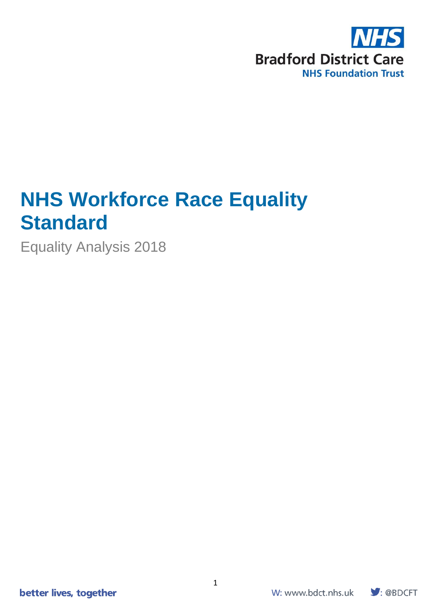

# **NHS Workforce Race Equality Standard**

Equality Analysis 2018

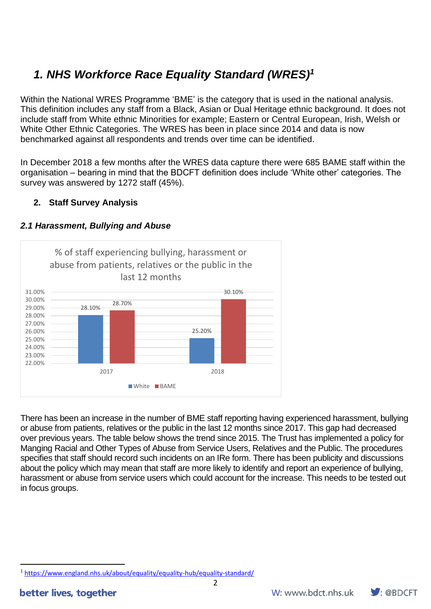# *1. NHS Workforce Race Equality Standard (WRES)<sup>1</sup>*

Within the National WRES Programme 'BME' is the category that is used in the national analysis. This definition includes any staff from a Black, Asian or Dual Heritage ethnic background. It does not include staff from White ethnic Minorities for example; Eastern or Central European, Irish, Welsh or White Other Ethnic Categories. The WRES has been in place since 2014 and data is now benchmarked against all respondents and trends over time can be identified.

In December 2018 a few months after the WRES data capture there were 685 BAME staff within the organisation – bearing in mind that the BDCFT definition does include 'White other' categories. The survey was answered by 1272 staff (45%).

# **2. Staff Survey Analysis**



# *2.1 Harassment, Bullying and Abuse*

There has been an increase in the number of BME staff reporting having experienced harassment, bullying or abuse from patients, relatives or the public in the last 12 months since 2017. This gap had decreased over previous years. The table below shows the trend since 2015. The Trust has implemented a policy for Manging Racial and Other Types of Abuse from Service Users, Relatives and the Public. The procedures specifies that staff should record such incidents on an IRe form. There has been publicity and discussions about the policy which may mean that staff are more likely to identify and report an experience of bullying, harassment or abuse from service users which could account for the increase. This needs to be tested out in focus groups.



<sup>1</sup> <https://www.england.nhs.uk/about/equality/equality-hub/equality-standard/>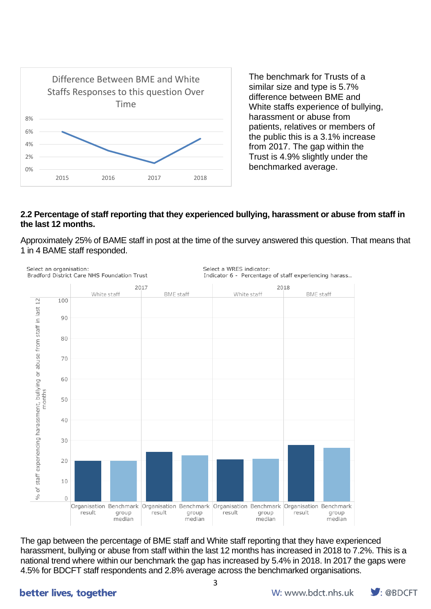

The benchmark for Trusts of a similar size and type is 5.7% difference between BME and White staffs experience of bullying, harassment or abuse from patients, relatives or members of the public this is a 3.1% increase from 2017. The gap within the Trust is 4.9% slightly under the benchmarked average.

#### **2.2 Percentage of staff reporting that they experienced bullying, harassment or abuse from staff in the last 12 months.**

Approximately 25% of BAME staff in post at the time of the survey answered this question. That means that 1 in 4 BAME staff responded.



The gap between the percentage of BME staff and White staff reporting that they have experienced harassment, bullying or abuse from staff within the last 12 months has increased in 2018 to 7.2%. This is a national trend where within our benchmark the gap has increased by 5.4% in 2018. In 2017 the gaps were 4.5% for BDCFT staff respondents and 2.8% average across the benchmarked organisations.

# better lives, together

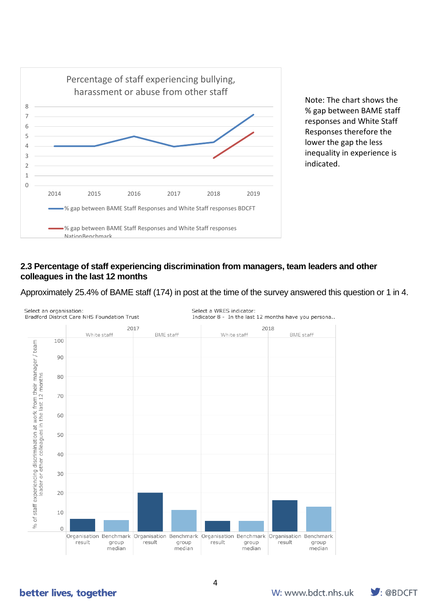

Note: The chart shows the % gap between BAME staff responses and White Staff Responses therefore the lower the gap the less inequality in experience is indicated.

#### **2.3 Percentage of staff experiencing discrimination from managers, team leaders and other colleagues in the last 12 months**

Approximately 25.4% of BAME staff (174) in post at the time of the survey answered this question or 1 in 4.



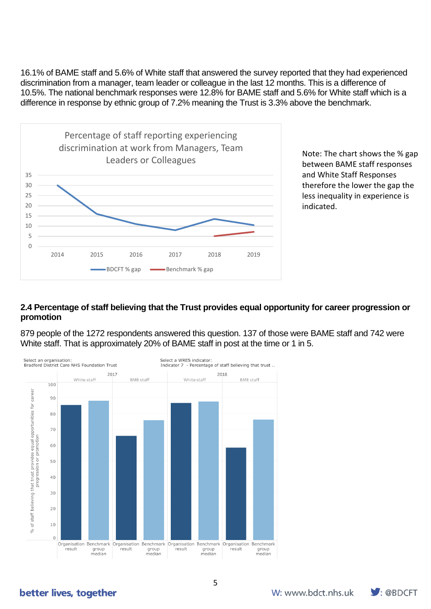16.1% of BAME staff and 5.6% of White staff that answered the survey reported that they had experienced discrimination from a manager, team leader or colleague in the last 12 months. This is a difference of 10.5%. The national benchmark responses were 12.8% for BAME staff and 5.6% for White staff which is a difference in response by ethnic group of 7.2% meaning the Trust is 3.3% above the benchmark.



Note: The chart shows the % gap between BAME staff responses and White Staff Responses therefore the lower the gap the less inequality in experience is indicated.

### **2.4 Percentage of staff believing that the Trust provides equal opportunity for career progression or promotion**

879 people of the 1272 respondents answered this question. 137 of those were BAME staff and 742 were White staff. That is approximately 20% of BAME staff in post at the time or 1 in 5.



better lives, together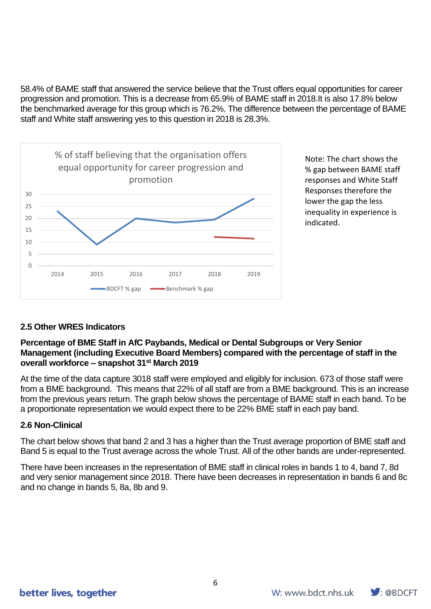58.4% of BAME staff that answered the service believe that the Trust offers equal opportunities for career progression and promotion. This is a decrease from 65.9% of BAME staff in 2018.It is also 17.8% below the benchmarked average for this group which is 76.2%. The difference between the percentage of BAME staff and White staff answering yes to this question in 2018 is 28.3%.



Note: The chart shows the % gap between BAME staff responses and White Staff Responses therefore the lower the gap the less inequality in experience is indicated.

# **2.5 Other WRES Indicators**

### **Percentage of BME Staff in AfC Paybands, Medical or Dental Subgroups or Very Senior Management (including Executive Board Members) compared with the percentage of staff in the overall workforce – snapshot 31st March 2019**

At the time of the data capture 3018 staff were employed and eligibly for inclusion. 673 of those staff were from a BME background. This means that 22% of all staff are from a BME background. This is an increase from the previous years return. The graph below shows the percentage of BAME staff in each band. To be a proportionate representation we would expect there to be 22% BME staff in each pay band.

# **2.6 Non-Clinical**

The chart below shows that band 2 and 3 has a higher than the Trust average proportion of BME staff and Band 5 is equal to the Trust average across the whole Trust. All of the other bands are under-represented.

There have been increases in the representation of BME staff in clinical roles in bands 1 to 4, band 7, 8d and very senior management since 2018. There have been decreases in representation in bands 6 and 8c and no change in bands 5, 8a, 8b and 9.

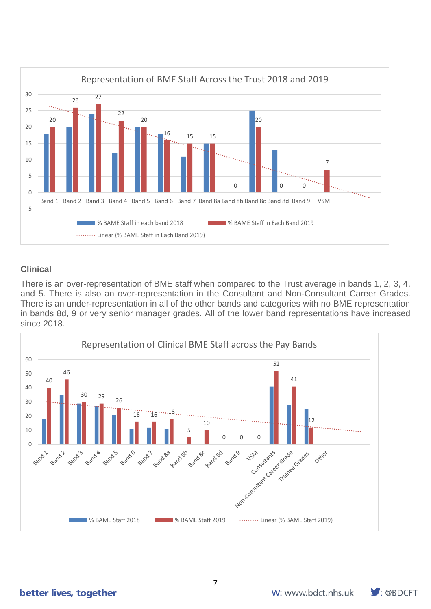

### **Clinical**

There is an over-representation of BME staff when compared to the Trust average in bands 1, 2, 3, 4, and 5. There is also an over-representation in the Consultant and Non-Consultant Career Grades. There is an under-representation in all of the other bands and categories with no BME representation in bands 8d, 9 or very senior manager grades. All of the lower band representations have increased since 2018.